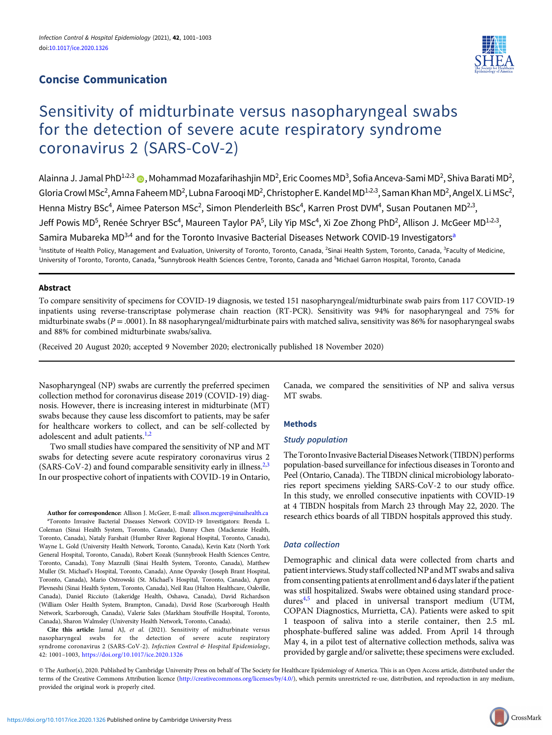## Concise Communication



# Sensitivity of midturbinate versus nasopharyngeal swabs for the detection of severe acute respiratory syndrome coronavirus 2 (SARS-CoV-2)

Alainna J. Jamal PhD<sup>1.2.3</sup> ( , Mohammad Mozafarihashjin MD<sup>2</sup>, Eric Coomes MD<sup>3</sup>, Sofia Anceva-Sami MD<sup>2</sup>, Shiva Barati MD<sup>2</sup>, Gloria Crowl MSc<sup>2</sup>, Amna Faheem MD<sup>2</sup>, Lubna Farooqi MD<sup>2</sup>, Christopher E. Kandel MD<sup>1,2,3</sup>, Saman Khan MD<sup>2</sup>, Angel X. Li MSc<sup>2</sup>, Henna Mistry BSc<sup>4</sup>, Aimee Paterson MSc<sup>2</sup>, Simon Plenderleith BSc<sup>4</sup>, Karren Prost DVM<sup>4</sup>, Susan Poutanen MD<sup>2,3</sup>, Jeff Powis MD<sup>5</sup>, Renée Schryer BSc<sup>4</sup>, Maureen Taylor PA<sup>5</sup>, Lily Yip MSc<sup>4</sup>, Xi Zoe Zhong PhD<sup>2</sup>, Allison J. McGeer MD<sup>1,2,3</sup>, Samira Mubareka MD<sup>3,4</sup> and for the Toronto Invasive Bacterial Diseases Network COVID-19 Investigators<sup>a</sup> <sup>1</sup>Institute of Health Policy, Management and Evaluation, University of Toronto, Toronto, Canada, <sup>2</sup>Sinai Health System, Toronto, Canada, <sup>3</sup>Faculty of Medicine,

## University of Toronto, Toronto, Canada, <sup>4</sup>Sunnybrook Health Sciences Centre, Toronto, Canada and <sup>5</sup>Michael Garron Hospital, Toronto, Canada

## Abstract

To compare sensitivity of specimens for COVID-19 diagnosis, we tested 151 nasopharyngeal/midturbinate swab pairs from 117 COVID-19 inpatients using reverse-transcriptase polymerase chain reaction (RT-PCR). Sensitivity was 94% for nasopharyngeal and 75% for midturbinate swabs ( $P = 0.001$ ). In 88 nasopharyngeal/midturbinate pairs with matched saliva, sensitivity was 86% for nasopharyngeal swabs and 88% for combined midturbinate swabs/saliva.

(Received 20 August 2020; accepted 9 November 2020; electronically published 18 November 2020)

Nasopharyngeal (NP) swabs are currently the preferred specimen collection method for coronavirus disease 2019 (COVID-19) diagnosis. However, there is increasing interest in midturbinate (MT) swabs because they cause less discomfort to patients, may be safer for healthcare workers to collect, and can be self-collected by adolescent and adult patients.<sup>[1,2](#page-2-0)</sup>

Two small studies have compared the sensitivity of NP and MT swabs for detecting severe acute respiratory coronavirus virus 2 (SARS-CoV-[2](#page-2-0)) and found comparable sensitivity early in illness.<sup>2,[3](#page-2-0)</sup> In our prospective cohort of inpatients with COVID-19 in Ontario,

Author for correspondence: Allison J. McGeer, E-mail: [allison.mcgeer@sinaihealth.ca](mailto:allison.mcgeer@sinaihealth.ca) a Toronto Invasive Bacterial Diseases Network COVID-19 Investigators: Brenda L. Coleman (Sinai Health System, Toronto, Canada), Danny Chen (Mackenzie Health, Toronto, Canada), Nataly Farshait (Humber River Regional Hospital, Toronto, Canada), Wayne L. Gold (University Health Network, Toronto, Canada), Kevin Katz (North York General Hospital, Toronto, Canada), Robert Kozak (Sunnybrook Health Sciences Centre, Toronto, Canada), Tony Mazzulli (Sinai Health System, Toronto, Canada), Matthew Muller (St. Michael's Hospital, Toronto, Canada), Anne Opavsky (Joseph Brant Hospital, Toronto, Canada), Mario Ostrowski (St. Michael's Hospital, Toronto, Canada), Agron Plevneshi (Sinai Health System, Toronto, Canada), Neil Rau (Halton Healthcare, Oakville, Canada), Daniel Ricciuto (Lakeridge Health, Oshawa, Canada), David Richardson (William Osler Health System, Brampton, Canada), David Rose (Scarborough Health Network, Scarborough, Canada), Valerie Sales (Markham Stouffville Hospital, Toronto, Canada), Sharon Walmsley (University Health Network, Toronto, Canada).

Cite this article: Jamal AJ, et al. (2021). Sensitivity of midturbinate versus nasopharyngeal swabs for the detection of severe acute respiratory syndrome coronavirus 2 (SARS-CoV-2). Infection Control & Hospital Epidemiology, 42: 1001–1003, <https://doi.org/10.1017/ice.2020.1326>

Canada, we compared the sensitivities of NP and saliva versus MT swabs.

## Methods

## Study population

The Toronto Invasive Bacterial Diseases Network (TIBDN) performs population-based surveillance for infectious diseases in Toronto and Peel (Ontario, Canada). The TIBDN clinical microbiology laboratories report specimens yielding SARS-CoV-2 to our study office. In this study, we enrolled consecutive inpatients with COVID-19 at 4 TIBDN hospitals from March 23 through May 22, 2020. The research ethics boards of all TIBDN hospitals approved this study.

## Data collection

Demographic and clinical data were collected from charts and patient interviews. Study staff collected NP and MT swabs and saliva from consenting patients at enrollment and 6 days later if the patient was still hospitalized. Swabs were obtained using standard proce-dures<sup>[4,5](#page-2-0)</sup> and placed in universal transport medium (UTM, COPAN Diagnostics, Murrietta, CA). Patients were asked to spit 1 teaspoon of saliva into a sterile container, then 2.5 mL phosphate-buffered saline was added. From April 14 through May 4, in a pilot test of alternative collection methods, saliva was provided by gargle and/or salivette; these specimens were excluded.

© The Author(s), 2020. Published by Cambridge University Press on behalf of The Society for Healthcare Epidemiology of America. This is an Open Access article, distributed under the terms of the Creative Commons Attribution licence [\(http://creativecommons.org/licenses/by/4.0/](http://creativecommons.org/licenses/by/4.0/)), which permits unrestricted re-use, distribution, and reproduction in any medium, provided the original work is properly cited.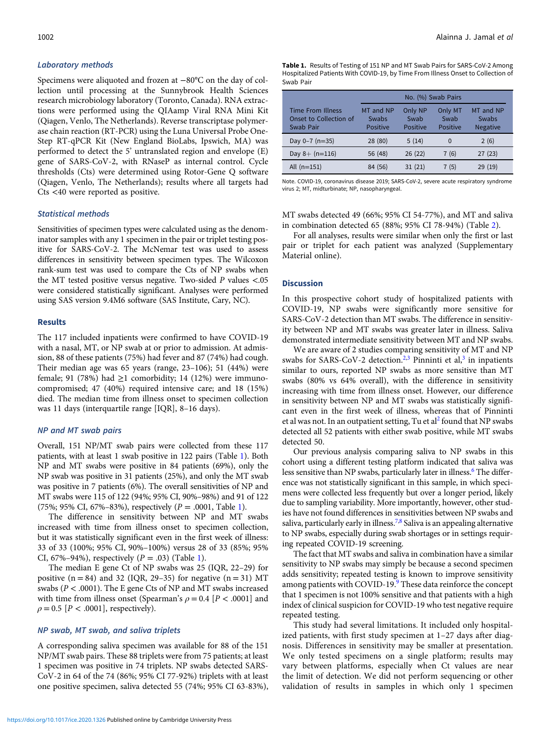#### Laboratory methods

Specimens were aliquoted and frozen at −80°C on the day of collection until processing at the Sunnybrook Health Sciences research microbiology laboratory (Toronto, Canada). RNA extractions were performed using the QIAamp Viral RNA Mini Kit (Qiagen, Venlo, The Netherlands). Reverse transcriptase polymerase chain reaction (RT-PCR) using the Luna Universal Probe One-Step RT-qPCR Kit (New England BioLabs, Ipswich, MA) was performed to detect the 5' untranslated region and envelope (E) gene of SARS-CoV-2, with RNaseP as internal control. Cycle thresholds (Cts) were determined using Rotor-Gene Q software (Qiagen, Venlo, The Netherlands); results where all targets had Cts <40 were reported as positive.

## Statistical methods

Sensitivities of specimen types were calculated using as the denominator samples with any 1 specimen in the pair or triplet testing positive for SARS-CoV-2. The McNemar test was used to assess differences in sensitivity between specimen types. The Wilcoxon rank-sum test was used to compare the Cts of NP swabs when the MT tested positive versus negative. Two-sided P values <.05 were considered statistically significant. Analyses were performed using SAS version 9.4M6 software (SAS Institute, Cary, NC).

#### Results

The 117 included inpatients were confirmed to have COVID-19 with a nasal, MT, or NP swab at or prior to admission. At admission, 88 of these patients (75%) had fever and 87 (74%) had cough. Their median age was 65 years (range, 23–106); 51 (44%) were female; 91 (78%) had  $\geq$ 1 comorbidity; 14 (12%) were immunocompromised; 47 (40%) required intensive care; and 18 (15%) died. The median time from illness onset to specimen collection was 11 days (interquartile range [IQR], 8–16 days).

#### NP and MT swab pairs

Overall, 151 NP/MT swab pairs were collected from these 117 patients, with at least 1 swab positive in 122 pairs (Table 1). Both NP and MT swabs were positive in 84 patients (69%), only the NP swab was positive in 31 patients (25%), and only the MT swab was positive in 7 patients (6%). The overall sensitivities of NP and MT swabs were 115 of 122 (94%; 95% CI, 90%–98%) and 91 of 122 (75%; 95% CI, 67%–83%), respectively  $(P = .0001, \text{Table 1}).$ 

The difference in sensitivity between NP and MT swabs increased with time from illness onset to specimen collection, but it was statistically significant even in the first week of illness: 33 of 33 (100%; 95% CI, 90%–100%) versus 28 of 33 (85%; 95% CI, 67%–94%), respectively  $(P = .03)$  (Table 1).

The median E gene Ct of NP swabs was 25 (IQR, 22–29) for positive  $(n = 84)$  and 32 (IQR, 29–35) for negative  $(n = 31)$  MT swabs ( $P < .0001$ ). The E gene Cts of NP and MT swabs increased with time from illness onset (Spearman's  $\rho = 0.4$  [P < .0001] and  $\rho = 0.5$  [ $P < .0001$ ], respectively).

#### NP swab, MT swab, and saliva triplets

A corresponding saliva specimen was available for 88 of the 151 NP/MT swab pairs. These 88 triplets were from 75 patients; at least 1 specimen was positive in 74 triplets. NP swabs detected SARS-CoV-2 in 64 of the 74 (86%; 95% CI 77-92%) triplets with at least one positive specimen, saliva detected 55 (74%; 95% CI 63-83%), Table 1. Results of Testing of 151 NP and MT Swab Pairs for SARS-CoV-2 Among Hospitalized Patients With COVID-19, by Time From Illness Onset to Collection of Swab Pair

|                                                                 | No. (%) Swab Pairs                    |                             |                             |                                       |  |  |  |  |
|-----------------------------------------------------------------|---------------------------------------|-----------------------------|-----------------------------|---------------------------------------|--|--|--|--|
| <b>Time From Illness</b><br>Onset to Collection of<br>Swab Pair | MT and NP<br>Swabs<br><b>Positive</b> | Only NP<br>Swab<br>Positive | Only MT<br>Swab<br>Positive | MT and NP<br>Swabs<br><b>Negative</b> |  |  |  |  |
| Day $0 - 7$ (n=35)                                              | 28 (80)                               | 5(14)                       | $\Omega$                    | 2(6)                                  |  |  |  |  |
| Day $8+$ (n=116)                                                | 56 (48)                               | 26(22)                      | 7(6)                        | 27(23)                                |  |  |  |  |
| All $(n=151)$                                                   | 84 (56)                               | 31(21)                      | 7(5)                        | 29 (19)                               |  |  |  |  |

Note. COVID-19, coronavirus disease 2019; SARS-CoV-2, severe acute respiratory syndrome virus 2; MT, midturbinate; NP, nasopharyngeal.

MT swabs detected 49 (66%; 95% CI 54-77%), and MT and saliva in combination detected 65 (88%; 95% CI 78-94%) (Table [2\)](#page-2-0).

For all analyses, results were similar when only the first or last pair or triplet for each patient was analyzed (Supplementary Material online).

#### **Discussion**

In this prospective cohort study of hospitalized patients with COVID-19, NP swabs were significantly more sensitive for SARS-CoV-2 detection than MT swabs. The difference in sensitivity between NP and MT swabs was greater later in illness. Saliva demonstrated intermediate sensitivity between MT and NP swabs.

We are aware of 2 studies comparing sensitivity of MT and NP swabs for SARS-CoV-2 detection.<sup>[2,3](#page-2-0)</sup> Pinninti et al,<sup>[3](#page-2-0)</sup> in inpatients similar to ours, reported NP swabs as more sensitive than MT swabs (80% vs 64% overall), with the difference in sensitivity increasing with time from illness onset. However, our difference in sensitivity between NP and MT swabs was statistically significant even in the first week of illness, whereas that of Pinninti et al was not. In an outpatient setting, Tu et al<sup>2</sup> found that NP swabs detected all 52 patients with either swab positive, while MT swabs detected 50.

Our previous analysis comparing saliva to NP swabs in this cohort using a different testing platform indicated that saliva was less sensitive than NP swabs, particularly later in illness.<sup>[6](#page-2-0)</sup> The difference was not statistically significant in this sample, in which specimens were collected less frequently but over a longer period, likely due to sampling variability. More importantly, however, other studies have not found differences in sensitivities between NP swabs and saliva, particularly early in illness.<sup>7,[8](#page-2-0)</sup> Saliva is an appealing alternative to NP swabs, especially during swab shortages or in settings requiring repeated COVID-19 screening.

The fact that MT swabs and saliva in combination have a similar sensitivity to NP swabs may simply be because a second specimen adds sensitivity; repeated testing is known to improve sensitivity among patients with COVID-1[9](#page-2-0).<sup>9</sup> These data reinforce the concept that 1 specimen is not 100% sensitive and that patients with a high index of clinical suspicion for COVID-19 who test negative require repeated testing.

This study had several limitations. It included only hospitalized patients, with first study specimen at 1–27 days after diagnosis. Differences in sensitivity may be smaller at presentation. We only tested specimens on a single platform; results may vary between platforms, especially when Ct values are near the limit of detection. We did not perform sequencing or other validation of results in samples in which only 1 specimen